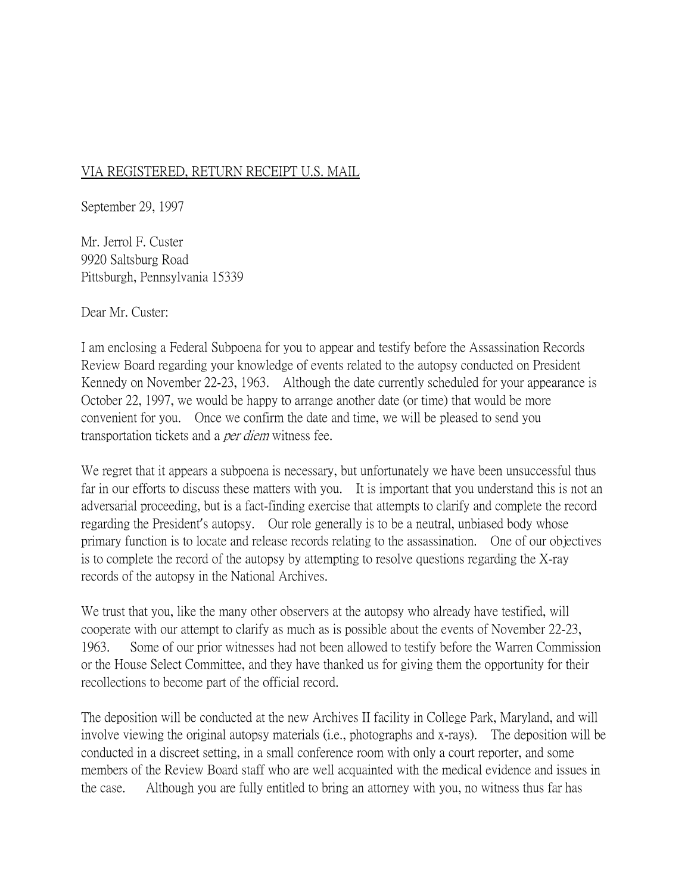## VIA REGISTERED, RETURN RECEIPT U.S. MAIL

September 29, 1997

Mr. Jerrol F. Custer 9920 Saltsburg Road Pittsburgh, Pennsylvania 15339

Dear Mr. Custer:

I am enclosing a Federal Subpoena for you to appear and testify before the Assassination Records Review Board regarding your knowledge of events related to the autopsy conducted on President Kennedy on November 22-23, 1963. Although the date currently scheduled for your appearance is October 22, 1997, we would be happy to arrange another date (or time) that would be more convenient for you. Once we confirm the date and time, we will be pleased to send you transportation tickets and a per diem witness fee.

We regret that it appears a subpoena is necessary, but unfortunately we have been unsuccessful thus far in our efforts to discuss these matters with you. It is important that you understand this is not an adversarial proceeding, but is a fact-finding exercise that attempts to clarify and complete the record regarding the President's autopsy. Our role generally is to be a neutral, unbiased body whose primary function is to locate and release records relating to the assassination. One of our objectives is to complete the record of the autopsy by attempting to resolve questions regarding the X-ray records of the autopsy in the National Archives.

We trust that you, like the many other observers at the autopsy who already have testified, will cooperate with our attempt to clarify as much as is possible about the events of November 22-23, 1963. Some of our prior witnesses had not been allowed to testify before the Warren Commission or the House Select Committee, and they have thanked us for giving them the opportunity for their recollections to become part of the official record.

The deposition will be conducted at the new Archives II facility in College Park, Maryland, and will involve viewing the original autopsy materials (i.e., photographs and x-rays). The deposition will be conducted in a discreet setting, in a small conference room with only a court reporter, and some members of the Review Board staff who are well acquainted with the medical evidence and issues in the case. Although you are fully entitled to bring an attorney with you, no witness thus far has